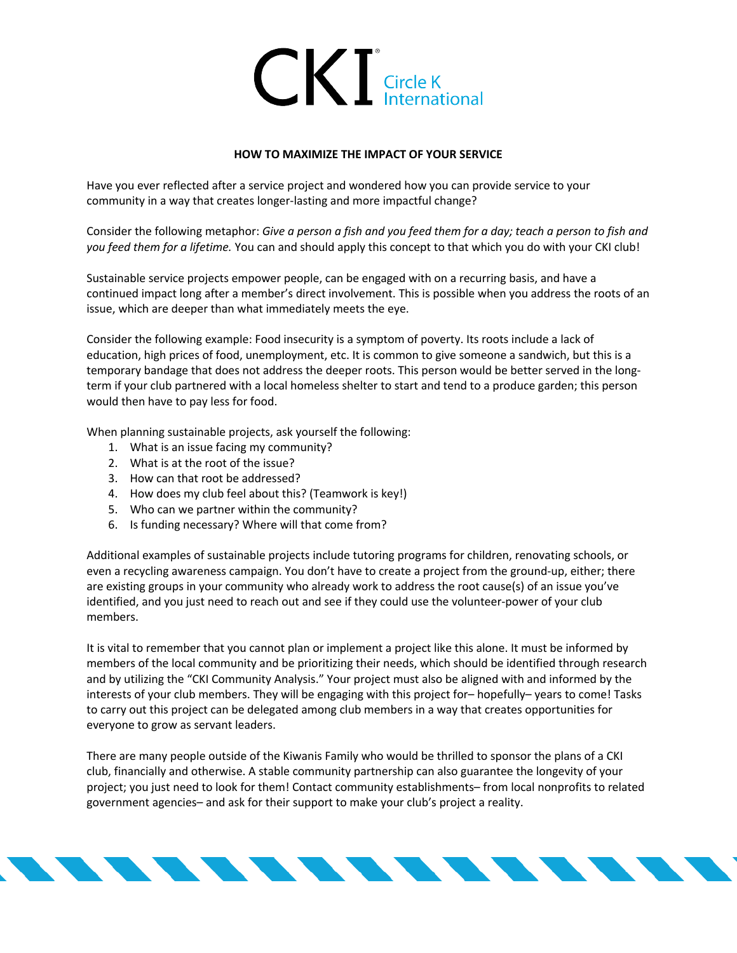

## **HOW TO MAXIMIZE THE IMPACT OF YOUR SERVICE**

Have you ever reflected after a service project and wondered how you can provide service to your community in a way that creates longer-lasting and more impactful change?

Consider the following metaphor: *Give a person a fish and you feed them for a day; teach a person to fish and you feed them for a lifetime.* You can and should apply this concept to that which you do with your CKI club!

Sustainable service projects empower people, can be engaged with on a recurring basis, and have a continued impact long after a member's direct involvement. This is possible when you address the roots of an issue, which are deeper than what immediately meets the eye.

Consider the following example: Food insecurity is a symptom of poverty. Its roots include a lack of education, high prices of food, unemployment, etc. It is common to give someone a sandwich, but this is a temporary bandage that does not address the deeper roots. This person would be better served in the longterm if your club partnered with a local homeless shelter to start and tend to a produce garden; this person would then have to pay less for food.

When planning sustainable projects, ask yourself the following:

- 1. What is an issue facing my community?
- 2. What is at the root of the issue?
- 3. How can that root be addressed?
- 4. How does my club feel about this? (Teamwork is key!)
- 5. Who can we partner within the community?
- 6. Is funding necessary? Where will that come from?

Additional examples of sustainable projects include tutoring programs for children, renovating schools, or even a recycling awareness campaign. You don't have to create a project from the ground-up, either; there are existing groups in your community who already work to address the root cause(s) of an issue you've identified, and you just need to reach out and see if they could use the volunteer-power of your club members.

It is vital to remember that you cannot plan or implement a project like this alone. It must be informed by members of the local community and be prioritizing their needs, which should be identified through research and by utilizing the "CKI Community Analysis." Your project must also be aligned with and informed by the interests of your club members. They will be engaging with this project for– hopefully– years to come! Tasks to carry out this project can be delegated among club members in a way that creates opportunities for everyone to grow as servant leaders.

There are many people outside of the Kiwanis Family who would be thrilled to sponsor the plans of a CKI club, financially and otherwise. A stable community partnership can also guarantee the longevity of your project; you just need to look for them! Contact community establishments– from local nonprofits to related government agencies– and ask for their support to make your club's project a reality.